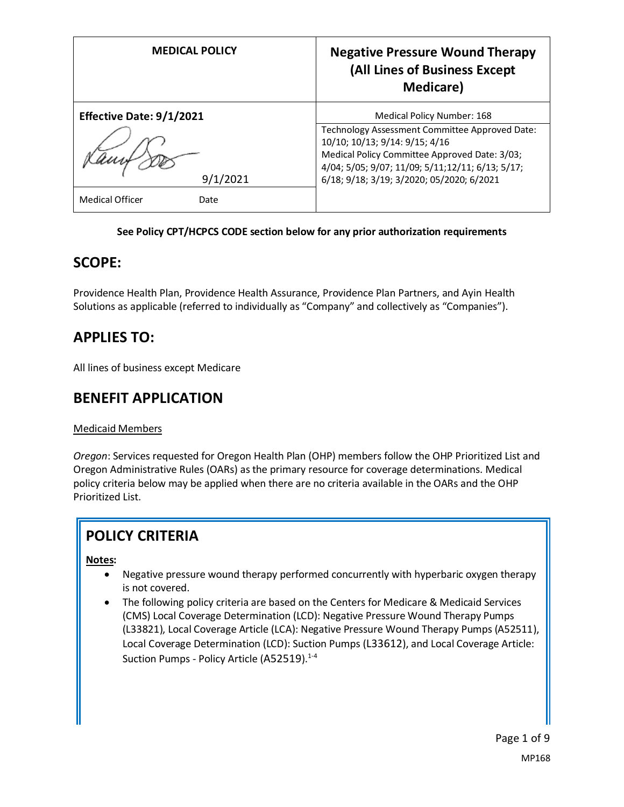| <b>MEDICAL POLICY</b>          | <b>Negative Pressure Wound Therapy</b><br>(All Lines of Business Except<br><b>Medicare</b> )                                                                                                                                       |
|--------------------------------|------------------------------------------------------------------------------------------------------------------------------------------------------------------------------------------------------------------------------------|
| Effective Date: 9/1/2021       | Medical Policy Number: 168                                                                                                                                                                                                         |
| 9/1/2021                       | Technology Assessment Committee Approved Date:<br>10/10; 10/13; 9/14: 9/15; 4/16<br>Medical Policy Committee Approved Date: 3/03;<br>4/04; 5/05; 9/07; 11/09; 5/11;12/11; 6/13; 5/17;<br>6/18; 9/18; 3/19; 3/2020; 05/2020; 6/2021 |
| <b>Medical Officer</b><br>Date |                                                                                                                                                                                                                                    |

#### **See Policy CPT/HCPCS CODE section below for any prior authorization requirements**

## **SCOPE:**

Providence Health Plan, Providence Health Assurance, Providence Plan Partners, and Ayin Health Solutions as applicable (referred to individually as "Company" and collectively as "Companies").

## **APPLIES TO:**

All lines of business except Medicare

## **BENEFIT APPLICATION**

#### Medicaid Members

*Oregon*: Services requested for Oregon Health Plan (OHP) members follow the OHP Prioritized List and Oregon Administrative Rules (OARs) as the primary resource for coverage determinations. Medical policy criteria below may be applied when there are no criteria available in the OARs and the OHP Prioritized List.

# **POLICY CRITERIA**

#### **Notes:**

- Negative pressure wound therapy performed concurrently with hyperbaric oxygen therapy is not covered.
- The following policy criteria are based on the Centers for Medicare & Medicaid Services (CMS) Local Coverage Determination (LCD): Negative Pressure Wound Therapy Pumps (L33821), Local Coverage Article (LCA): Negative Pressure Wound Therapy Pumps (A52511), Local Coverage Determination (LCD): Suction Pumps (L33612), and Local Coverage Article: Suction Pumps - Policy Article (A52519).<sup>1-4</sup>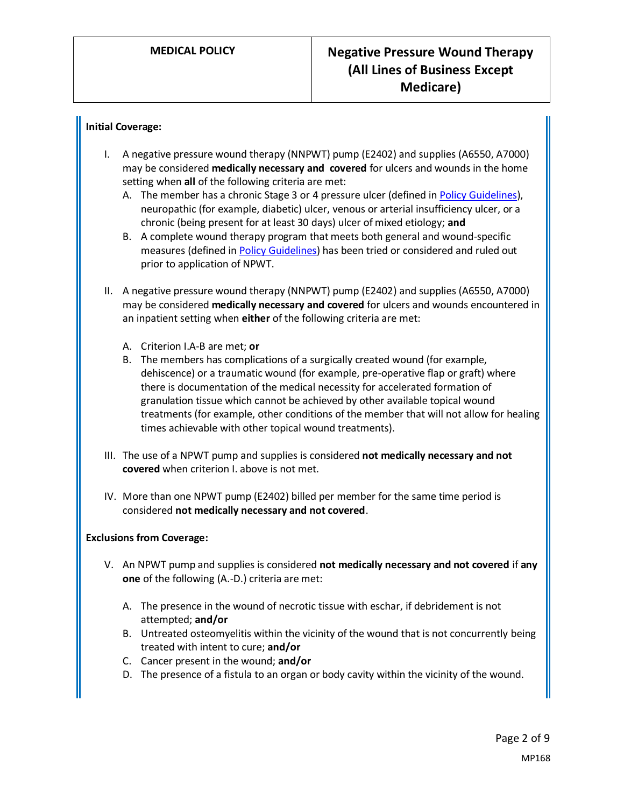#### **Initial Coverage:**

- I. A negative pressure wound therapy (NNPWT) pump (E2402) and supplies (A6550, A7000) may be considered **medically necessary and covered** for ulcers and wounds in the home setting when **all** of the following criteria are met:
	- A. The member has a chronic Stage 3 or 4 pressure ulcer (defined i[n Policy Guidelines\)](#page-2-0), neuropathic (for example, diabetic) ulcer, venous or arterial insufficiency ulcer, or a chronic (being present for at least 30 days) ulcer of mixed etiology; **and**
	- B. A complete wound therapy program that meets both general and wound-specific measures (defined i[n Policy Guidelines\)](#page-4-0) has been tried or considered and ruled out prior to application of NPWT.
- II. A negative pressure wound therapy (NNPWT) pump (E2402) and supplies (A6550, A7000) may be considered **medically necessary and covered** for ulcers and wounds encountered in an inpatient setting when **either** of the following criteria are met:
	- A. Criterion I.A-B are met; **or**
	- B. The members has complications of a surgically created wound (for example, dehiscence) or a traumatic wound (for example, pre-operative flap or graft) where there is documentation of the medical necessity for accelerated formation of granulation tissue which cannot be achieved by other available topical wound treatments (for example, other conditions of the member that will not allow for healing times achievable with other topical wound treatments).
- III. The use of a NPWT pump and supplies is considered **not medically necessary and not covered** when criterion I. above is not met.
- IV. More than one NPWT pump (E2402) billed per member for the same time period is considered **not medically necessary and not covered**.

#### **Exclusions from Coverage:**

- V. An NPWT pump and supplies is considered **not medically necessary and not covered** if **any one** of the following (A.-D.) criteria are met:
	- A. The presence in the wound of necrotic tissue with eschar, if debridement is not attempted; **and/or**
	- B. Untreated osteomyelitis within the vicinity of the wound that is not concurrently being treated with intent to cure; **and/or**
	- C. Cancer present in the wound; **and/or**
	- D. The presence of a fistula to an organ or body cavity within the vicinity of the wound.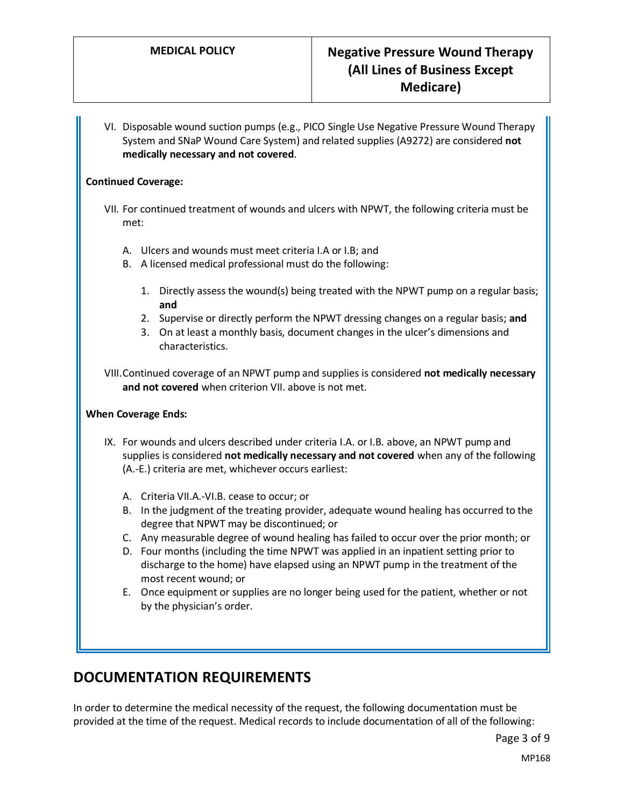VI. Disposable wound suction pumps (e.g., PICO Single Use Negative Pressure Wound Therapy System and SNaP Wound Care System) and related supplies (A9272) are considered **not medically necessary and not covered**.

#### **Continued Coverage:**

VII. For continued treatment of wounds and ulcers with NPWT, the following criteria must be met:

- A. Ulcers and wounds must meet criteria I.A or I.B; and
- B. A licensed medical professional must do the following:
	- 1. Directly assess the wound(s) being treated with the NPWT pump on a regular basis; **and**
	- 2. Supervise or directly perform the NPWT dressing changes on a regular basis; **and**
	- 3. On at least a monthly basis, document changes in the ulcer's dimensions and characteristics.
- VIII.Continued coverage of an NPWT pump and supplies is considered **not medically necessary and not covered** when criterion VII. above is not met.

#### **When Coverage Ends:**

- IX. For wounds and ulcers described under criteria I.A. or I.B. above, an NPWT pump and supplies is considered **not medically necessary and not covered** when any of the following (A.-E.) criteria are met, whichever occurs earliest:
	- A. Criteria VII.A.-VI.B. cease to occur; or
	- B. In the judgment of the treating provider, adequate wound healing has occurred to the degree that NPWT may be discontinued; or
	- C. Any measurable degree of wound healing has failed to occur over the prior month; or
	- D. Four months (including the time NPWT was applied in an inpatient setting prior to discharge to the home) have elapsed using an NPWT pump in the treatment of the most recent wound; or
	- E. Once equipment or supplies are no longer being used for the patient, whether or not by the physician's order.

# <span id="page-2-0"></span>**DOCUMENTATION REQUIREMENTS**

In order to determine the medical necessity of the request, the following documentation must be provided at the time of the request. Medical records to include documentation of all of the following: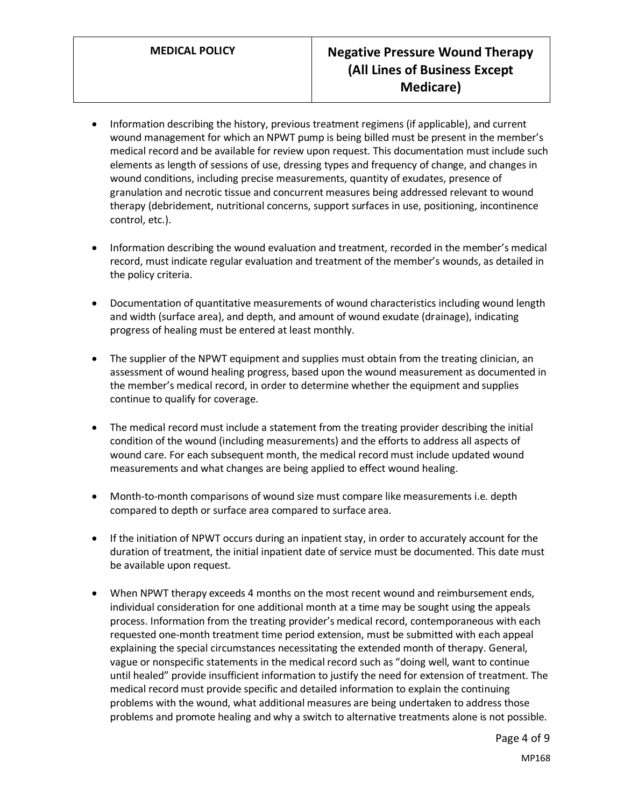- Information describing the history, previous treatment regimens (if applicable), and current wound management for which an NPWT pump is being billed must be present in the member's medical record and be available for review upon request. This documentation must include such elements as length of sessions of use, dressing types and frequency of change, and changes in wound conditions, including precise measurements, quantity of exudates, presence of granulation and necrotic tissue and concurrent measures being addressed relevant to wound therapy (debridement, nutritional concerns, support surfaces in use, positioning, incontinence control, etc.).
- Information describing the wound evaluation and treatment, recorded in the member's medical record, must indicate regular evaluation and treatment of the member's wounds, as detailed in the policy criteria.
- Documentation of quantitative measurements of wound characteristics including wound length and width (surface area), and depth, and amount of wound exudate (drainage), indicating progress of healing must be entered at least monthly.
- The supplier of the NPWT equipment and supplies must obtain from the treating clinician, an assessment of wound healing progress, based upon the wound measurement as documented in the member's medical record, in order to determine whether the equipment and supplies continue to qualify for coverage.
- The medical record must include a statement from the treating provider describing the initial condition of the wound (including measurements) and the efforts to address all aspects of wound care. For each subsequent month, the medical record must include updated wound measurements and what changes are being applied to effect wound healing.
- Month-to-month comparisons of wound size must compare like measurements i.e. depth compared to depth or surface area compared to surface area.
- If the initiation of NPWT occurs during an inpatient stay, in order to accurately account for the duration of treatment, the initial inpatient date of service must be documented. This date must be available upon request.
- When NPWT therapy exceeds 4 months on the most recent wound and reimbursement ends, individual consideration for one additional month at a time may be sought using the appeals process. Information from the treating provider's medical record, contemporaneous with each requested one-month treatment time period extension, must be submitted with each appeal explaining the special circumstances necessitating the extended month of therapy. General, vague or nonspecific statements in the medical record such as "doing well, want to continue until healed" provide insufficient information to justify the need for extension of treatment. The medical record must provide specific and detailed information to explain the continuing problems with the wound, what additional measures are being undertaken to address those problems and promote healing and why a switch to alternative treatments alone is not possible.

Page 4 of 9 MP168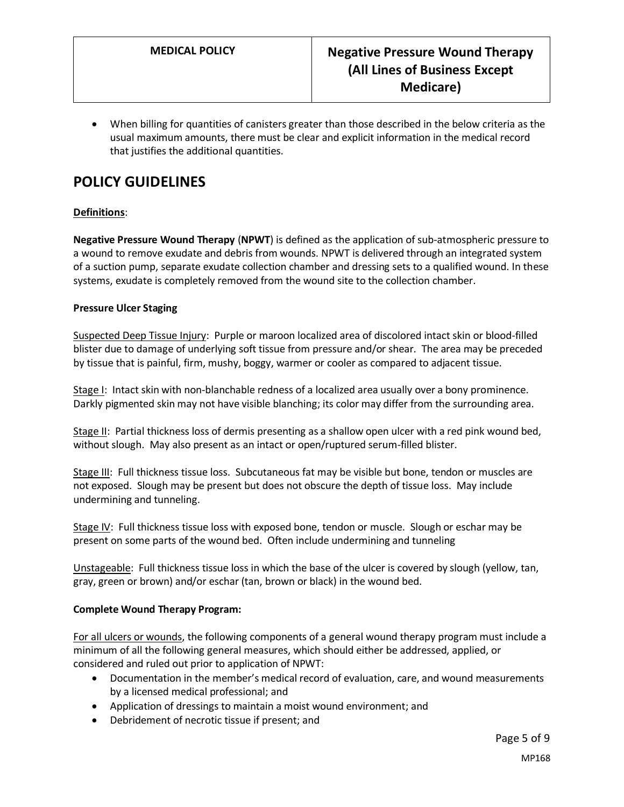When billing for quantities of canisters greater than those described in the below criteria as the usual maximum amounts, there must be clear and explicit information in the medical record that justifies the additional quantities.

## **POLICY GUIDELINES**

#### **Definitions**:

**Negative Pressure Wound Therapy** (**NPWT**) is defined as the application of sub-atmospheric pressure to a wound to remove exudate and debris from wounds. NPWT is delivered through an integrated system of a suction pump, separate exudate collection chamber and dressing sets to a qualified wound. In these systems, exudate is completely removed from the wound site to the collection chamber.

#### **Pressure Ulcer Staging**

Suspected Deep Tissue Injury: Purple or maroon localized area of discolored intact skin or blood-filled blister due to damage of underlying soft tissue from pressure and/or shear. The area may be preceded by tissue that is painful, firm, mushy, boggy, warmer or cooler as compared to adjacent tissue.

Stage I: Intact skin with non-blanchable redness of a localized area usually over a bony prominence. Darkly pigmented skin may not have visible blanching; its color may differ from the surrounding area.

Stage II: Partial thickness loss of dermis presenting as a shallow open ulcer with a red pink wound bed, without slough. May also present as an intact or open/ruptured serum-filled blister.

Stage III: Full thickness tissue loss. Subcutaneous fat may be visible but bone, tendon or muscles are not exposed. Slough may be present but does not obscure the depth of tissue loss. May include undermining and tunneling.

Stage IV: Full thickness tissue loss with exposed bone, tendon or muscle. Slough or eschar may be present on some parts of the wound bed. Often include undermining and tunneling

Unstageable: Full thickness tissue loss in which the base of the ulcer is covered by slough (yellow, tan, gray, green or brown) and/or eschar (tan, brown or black) in the wound bed.

#### <span id="page-4-0"></span>**Complete Wound Therapy Program:**

For all ulcers or wounds, the following components of a general wound therapy program must include a minimum of all the following general measures, which should either be addressed, applied, or considered and ruled out prior to application of NPWT:

- Documentation in the member's medical record of evaluation, care, and wound measurements by a licensed medical professional; and
- Application of dressings to maintain a moist wound environment; and
- Debridement of necrotic tissue if present; and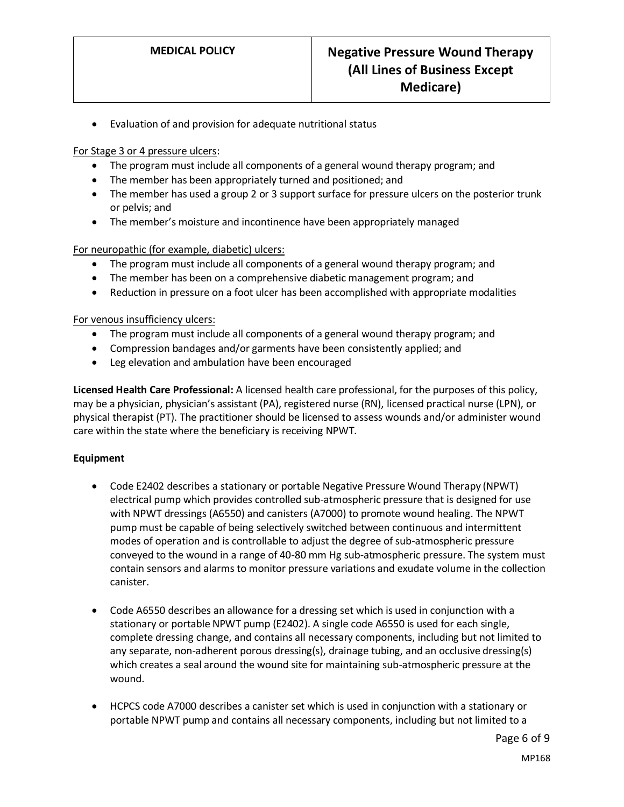Evaluation of and provision for adequate nutritional status

#### For Stage 3 or 4 pressure ulcers:

- The program must include all components of a general wound therapy program; and
- The member has been appropriately turned and positioned; and
- The member has used a group 2 or 3 support surface for pressure ulcers on the posterior trunk or pelvis; and
- The member's moisture and incontinence have been appropriately managed

For neuropathic (for example, diabetic) ulcers:

- The program must include all components of a general wound therapy program; and
- The member has been on a comprehensive diabetic management program; and
- Reduction in pressure on a foot ulcer has been accomplished with appropriate modalities

#### For venous insufficiency ulcers:

- The program must include all components of a general wound therapy program; and
- Compression bandages and/or garments have been consistently applied; and
- Leg elevation and ambulation have been encouraged

**Licensed Health Care Professional:** A licensed health care professional, for the purposes of this policy, may be a physician, physician's assistant (PA), registered nurse (RN), licensed practical nurse (LPN), or physical therapist (PT). The practitioner should be licensed to assess wounds and/or administer wound care within the state where the beneficiary is receiving NPWT.

#### **Equipment**

- Code E2402 describes a stationary or portable Negative Pressure Wound Therapy (NPWT) electrical pump which provides controlled sub-atmospheric pressure that is designed for use with NPWT dressings (A6550) and canisters (A7000) to promote wound healing. The NPWT pump must be capable of being selectively switched between continuous and intermittent modes of operation and is controllable to adjust the degree of sub-atmospheric pressure conveyed to the wound in a range of 40-80 mm Hg sub-atmospheric pressure. The system must contain sensors and alarms to monitor pressure variations and exudate volume in the collection canister.
- Code A6550 describes an allowance for a dressing set which is used in conjunction with a stationary or portable NPWT pump (E2402). A single code A6550 is used for each single, complete dressing change, and contains all necessary components, including but not limited to any separate, non-adherent porous dressing(s), drainage tubing, and an occlusive dressing(s) which creates a seal around the wound site for maintaining sub-atmospheric pressure at the wound.
- HCPCS code A7000 describes a canister set which is used in conjunction with a stationary or portable NPWT pump and contains all necessary components, including but not limited to a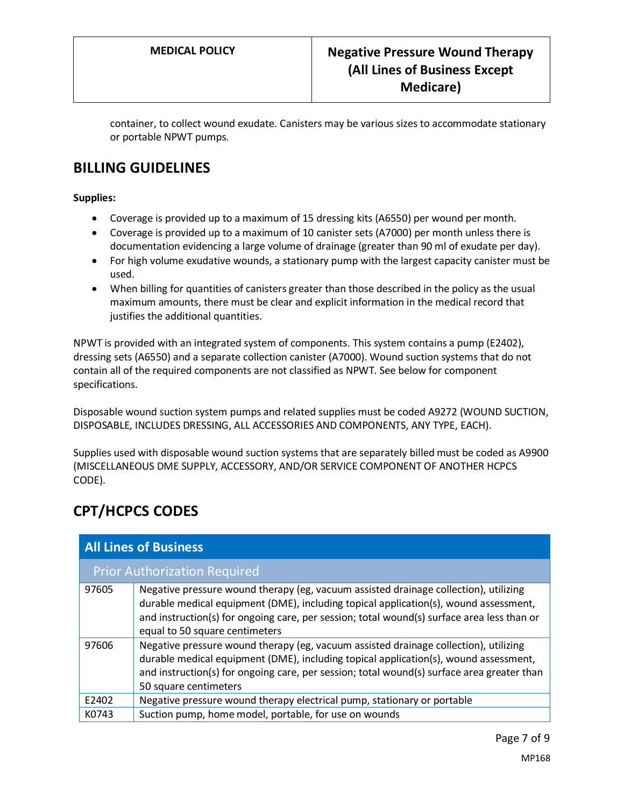container, to collect wound exudate. Canisters may be various sizes to accommodate stationary or portable NPWT pumps.

## **BILLING GUIDELINES**

**Supplies:**

- Coverage is provided up to a maximum of 15 dressing kits (A6550) per wound per month.
- Coverage is provided up to a maximum of 10 canister sets (A7000) per month unless there is documentation evidencing a large volume of drainage (greater than 90 ml of exudate per day).
- For high volume exudative wounds, a stationary pump with the largest capacity canister must be used.
- When billing for quantities of canisters greater than those described in the policy as the usual maximum amounts, there must be clear and explicit information in the medical record that justifies the additional quantities.

NPWT is provided with an integrated system of components. This system contains a pump (E2402), dressing sets (A6550) and a separate collection canister (A7000). Wound suction systems that do not contain all of the required components are not classified as NPWT. See below for component specifications.

Disposable wound suction system pumps and related supplies must be coded A9272 (WOUND SUCTION, DISPOSABLE, INCLUDES DRESSING, ALL ACCESSORIES AND COMPONENTS, ANY TYPE, EACH).

Supplies used with disposable wound suction systems that are separately billed must be coded as A9900 (MISCELLANEOUS DME SUPPLY, ACCESSORY, AND/OR SERVICE COMPONENT OF ANOTHER HCPCS CODE).

# **CPT/HCPCS CODES**

| <b>All Lines of Business</b> |                                                                                                                                                                                                                                                                                                              |
|------------------------------|--------------------------------------------------------------------------------------------------------------------------------------------------------------------------------------------------------------------------------------------------------------------------------------------------------------|
|                              | <b>Prior Authorization Required</b>                                                                                                                                                                                                                                                                          |
| 97605                        | Negative pressure wound therapy (eg, vacuum assisted drainage collection), utilizing<br>durable medical equipment (DME), including topical application(s), wound assessment,<br>and instruction(s) for ongoing care, per session; total wound(s) surface area less than or<br>equal to 50 square centimeters |
| 97606                        | Negative pressure wound therapy (eg, vacuum assisted drainage collection), utilizing<br>durable medical equipment (DME), including topical application(s), wound assessment,<br>and instruction(s) for ongoing care, per session; total wound(s) surface area greater than<br>50 square centimeters          |
| E2402                        | Negative pressure wound therapy electrical pump, stationary or portable                                                                                                                                                                                                                                      |
| K0743                        | Suction pump, home model, portable, for use on wounds                                                                                                                                                                                                                                                        |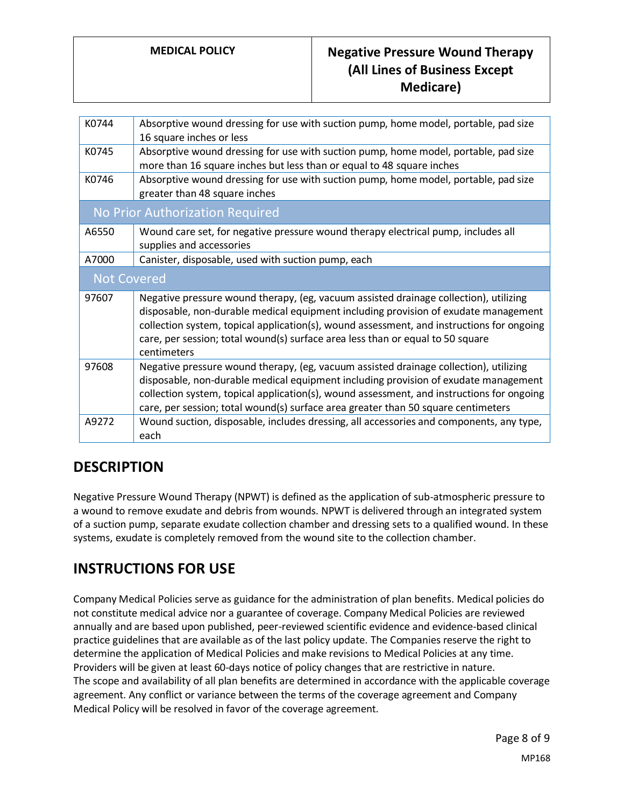## **MEDICAL POLICY Negative Pressure Wound Therapy (All Lines of Business Except Medicare)**

| K0744              | Absorptive wound dressing for use with suction pump, home model, portable, pad size<br>16 square inches or less                                                                                                                                                                                                                                                            |
|--------------------|----------------------------------------------------------------------------------------------------------------------------------------------------------------------------------------------------------------------------------------------------------------------------------------------------------------------------------------------------------------------------|
| K0745              | Absorptive wound dressing for use with suction pump, home model, portable, pad size<br>more than 16 square inches but less than or equal to 48 square inches                                                                                                                                                                                                               |
| K0746              | Absorptive wound dressing for use with suction pump, home model, portable, pad size<br>greater than 48 square inches                                                                                                                                                                                                                                                       |
|                    | No Prior Authorization Required                                                                                                                                                                                                                                                                                                                                            |
| A6550              | Wound care set, for negative pressure wound therapy electrical pump, includes all<br>supplies and accessories                                                                                                                                                                                                                                                              |
| A7000              | Canister, disposable, used with suction pump, each                                                                                                                                                                                                                                                                                                                         |
| <b>Not Covered</b> |                                                                                                                                                                                                                                                                                                                                                                            |
| 97607              | Negative pressure wound therapy, (eg, vacuum assisted drainage collection), utilizing<br>disposable, non-durable medical equipment including provision of exudate management<br>collection system, topical application(s), wound assessment, and instructions for ongoing<br>care, per session; total wound(s) surface area less than or equal to 50 square<br>centimeters |
| 97608              | Negative pressure wound therapy, (eg, vacuum assisted drainage collection), utilizing<br>disposable, non-durable medical equipment including provision of exudate management<br>collection system, topical application(s), wound assessment, and instructions for ongoing<br>care, per session; total wound(s) surface area greater than 50 square centimeters             |
| A9272              | Wound suction, disposable, includes dressing, all accessories and components, any type,<br>each                                                                                                                                                                                                                                                                            |

# **DESCRIPTION**

Negative Pressure Wound Therapy (NPWT) is defined as the application of sub-atmospheric pressure to a wound to remove exudate and debris from wounds. NPWT is delivered through an integrated system of a suction pump, separate exudate collection chamber and dressing sets to a qualified wound. In these systems, exudate is completely removed from the wound site to the collection chamber.

# **INSTRUCTIONS FOR USE**

Company Medical Policies serve as guidance for the administration of plan benefits. Medical policies do not constitute medical advice nor a guarantee of coverage. Company Medical Policies are reviewed annually and are based upon published, peer-reviewed scientific evidence and evidence-based clinical practice guidelines that are available as of the last policy update. The Companies reserve the right to determine the application of Medical Policies and make revisions to Medical Policies at any time. Providers will be given at least 60-days notice of policy changes that are restrictive in nature. The scope and availability of all plan benefits are determined in accordance with the applicable coverage agreement. Any conflict or variance between the terms of the coverage agreement and Company Medical Policy will be resolved in favor of the coverage agreement.